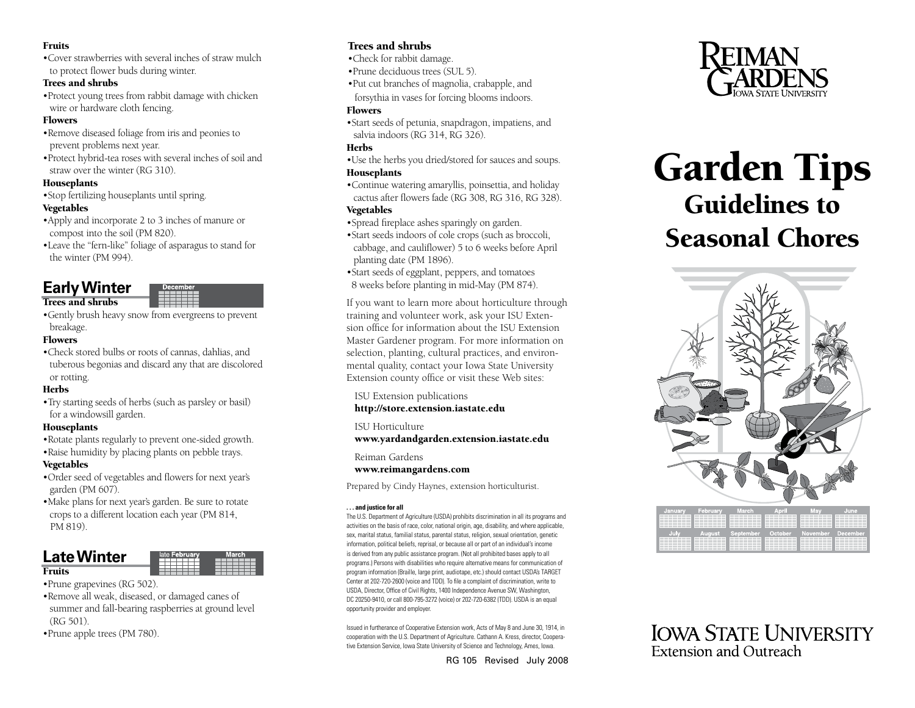#### Fruits

•Cover strawberries with several inches of straw mulch to protect flower buds during winter.

#### Trees and shrubs

•Protect young trees from rabbit damage with chicken wire or hardware cloth fencing.

#### **Flowers**

- •Remove diseased foliage from iris and peonies to prevent problems next year.
- •Protect hybrid-tea roses with several inches of soil and straw over the winter (RG 310).

#### Houseplants

•Stop fertilizing houseplants until spring.

#### Vegetables

- •Apply and incorporate 2 to 3 inches of manure or compost into the soil (PM 820).
- •Leave the "fern-like" foliage of asparagus to stand for the winter (PM 994).

# **Early Winter**

## Trees and shrubs

- 
- •Gently brush heavy snow from evergreens to prevent breakage.

#### **Flowers**

•Check stored bulbs or roots of cannas, dahlias, and tuberous begonias and discard any that are discolored or rotting.

#### **Herbs**

•Try starting seeds of herbs (such as parsley or basil) for a windowsill garden.

#### Houseplants

- •Rotate plants regularly to prevent one-sided growth.
- •Raise humidity by placing plants on pebble trays.

#### Vegetables

- •Order seed of vegetables and flowers for next year's garden (PM 607).
- •Make plans for next year's garden. Be sure to rotate crops to a different location each year (PM 814, PM 819).

# **Late Winter**

#### **Fruits**

- •Prune grapevines (RG 502).
- •Remove all weak, diseased, or damaged canes of summer and fall-bearing raspberries at ground level (RG 501).
- •Prune apple trees (PM 780).

# Trees and shrubs

- •Check for rabbit damage.
- •Prune deciduous trees (SUL 5).
- •Put cut branches of magnolia, crabapple, and forsythia in vases for forcing blooms indoors.

#### **Flowers**

•Start seeds of petunia, snapdragon, impatiens, and salvia indoors (RG 314, RG 326).

#### Herbs

- •Use the herbs you dried/stored for sauces and soups. Houseplants
- •Continue watering amaryllis, poinsettia, and holiday cactus after flowers fade (RG 308, RG 316, RG 328). Vegetables

# •Spread fireplace ashes sparingly on garden.

- •Start seeds indoors of cole crops (such as broccoli, cabbage, and cauliflower) 5 to 6 weeks before April planting date (PM 1896).
- •Start seeds of eggplant, peppers, and tomatoes 8 weeks before planting in mid-May (PM 874).

If you want to learn more about horticulture through training and volunteer work, ask your ISU Exten sion office for information about the ISU Extension Master Gardener program. For more information on selection, planting, cultural practices, and environ mental quality, contact your Iowa State University Extension county office or visit these Web sites:

#### ISU Extension publications

#### <http://store.extension.iastate.edu>

#### ISU Horticulture

<www.yardandgarden.extension.iastate.edu>

#### Reiman Gardens

<www.reimangardens.com>

Prepared by Cindy Haynes, extension horticulturist.

#### **. . . and justice for all**

The U.S. Department of Agriculture (USDA) prohibits discrimination in all its programs and activities on the basis of race, color, national origin, age, disability, and where applicable, sex, marital status, familial status, parental status, religion, sexual orientation, genetic information, political beliefs, reprisal, or because all or part of an individual's income is derived from any public assistance program. (Not all prohibited bases apply to all programs.) Persons with disabilities who require alternative means for communication of program information (Braille, large print, audiotape, etc.) should contact USDA's TARGET Center at 202-720-2600 (voice and TDD). To file a complaint of discrimination, write to USDA, Director, Office of Civil Rights, 1400 Independence Avenue SW, Washington, DC 20250-9410, or call 800-795-3272 (voice) or 202-720-6382 (TDD). USDA is an equal opportunity provider and employer.

Issued in furtherance of Cooperative Extension work, Acts of May 8 and June 30, 1914, in cooperation with the U.S. Department of Agriculture. Cathann A. Kress, director, Coopera tive Extension Service, Iowa State University of Science and Technology, Ames, Iowa.

RG 105 Revised July 2008



# Garden Tips Guidelines to Seasonal Chores



**IOWA STATE UNIVERSITY** Extension and Outreach